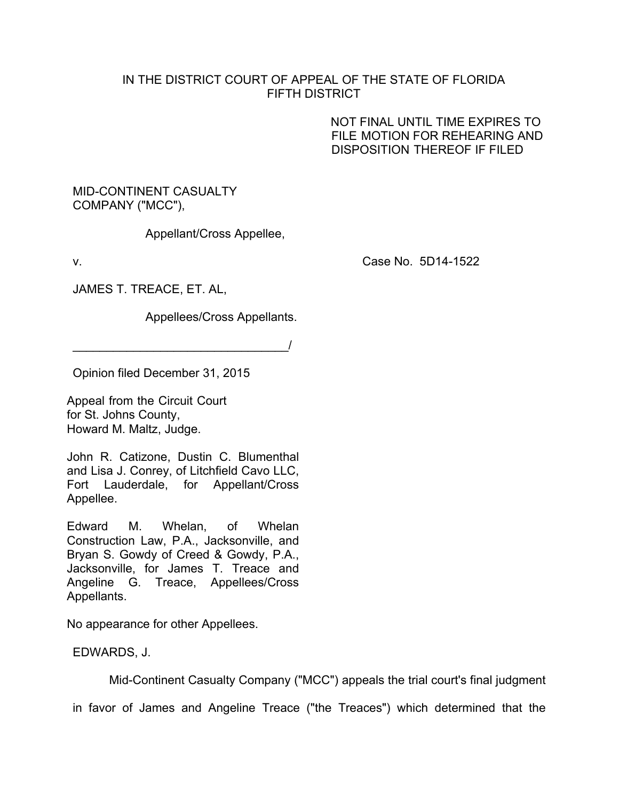## IN THE DISTRICT COURT OF APPEAL OF THE STATE OF FLORIDA FIFTH DISTRICT

NOT FINAL UNTIL TIME EXPIRES TO FILE MOTION FOR REHEARING AND DISPOSITION THEREOF IF FILED

## MID-CONTINENT CASUALTY COMPANY ("MCC"),

Appellant/Cross Appellee,

v. Case No. 5D14-1522

JAMES T. TREACE, ET. AL,

Appellees/Cross Appellants.

 $\overline{\phantom{a}}$ 

Opinion filed December 31, 2015

Appeal from the Circuit Court for St. Johns County, Howard M. Maltz, Judge.

John R. Catizone, Dustin C. Blumenthal and Lisa J. Conrey, of Litchfield Cavo LLC, Fort Lauderdale, for Appellant/Cross Appellee.

Edward M. Whelan, of Whelan Construction Law, P.A., Jacksonville, and Bryan S. Gowdy of Creed & Gowdy, P.A., Jacksonville, for James T. Treace and Angeline G. Treace, Appellees/Cross Appellants.

No appearance for other Appellees.

EDWARDS, J.

Mid-Continent Casualty Company ("MCC") appeals the trial court's final judgment

in favor of James and Angeline Treace ("the Treaces") which determined that the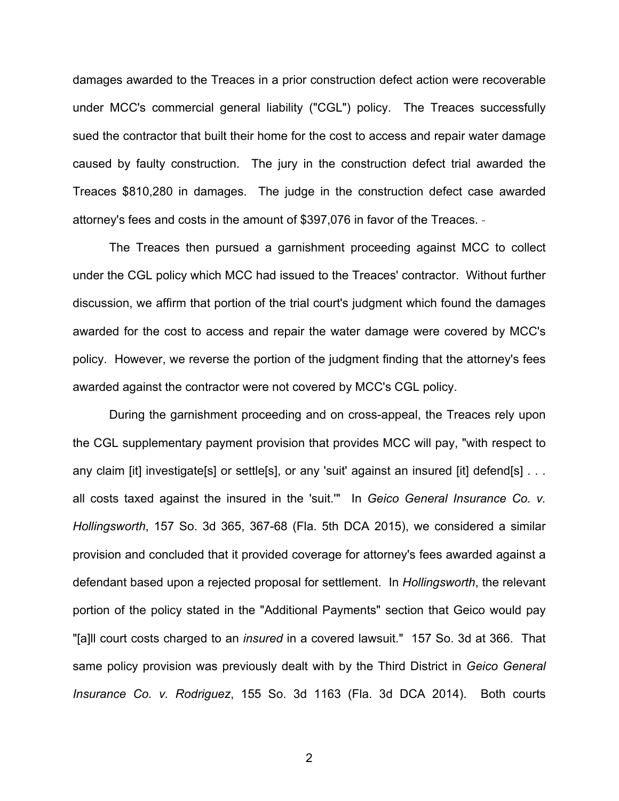damages awarded to the Treaces in a prior construction defect action were recoverable under MCC's commercial general liability ("CGL") policy. The Treaces successfully sued the contractor that built their home for the cost to access and repair water damage caused by faulty construction. The jury in the construction defect trial awarded the Treaces \$810,280 in damages. The judge in the construction defect case awarded attorney's fees and costs in the amount of \$397,076 in favor of the Treaces.

The Treaces then pursued a garnishment proceeding against MCC to collect under the CGL policy which MCC had issued to the Treaces' contractor. Without further discussion, we affirm that portion of the trial court's judgment which found the damages awarded for the cost to access and repair the water damage were covered by MCC's policy. However, we reverse the portion of the judgment finding that the attorney's fees awarded against the contractor were not covered by MCC's CGL policy.

During the garnishment proceeding and on cross-appeal, the Treaces rely upon the CGL supplementary payment provision that provides MCC will pay, "with respect to any claim [it] investigate[s] or settle[s], or any 'suit' against an insured [it] defend[s] . . . all costs taxed against the insured in the 'suit.'" In *Geico General Insurance Co. v. Hollingsworth*, 157 So. 3d 365, 367-68 (Fla. 5th DCA 2015), we considered a similar provision and concluded that it provided coverage for attorney's fees awarded against a defendant based upon a rejected proposal for settlement. In *Hollingsworth*, the relevant portion of the policy stated in the "Additional Payments" section that Geico would pay "[a]ll court costs charged to an *insured* in a covered lawsuit." 157 So. 3d at 366. That same policy provision was previously dealt with by the Third District in *Geico General Insurance Co. v. Rodriguez*, 155 So. 3d 1163 (Fla. 3d DCA 2014). Both courts

2